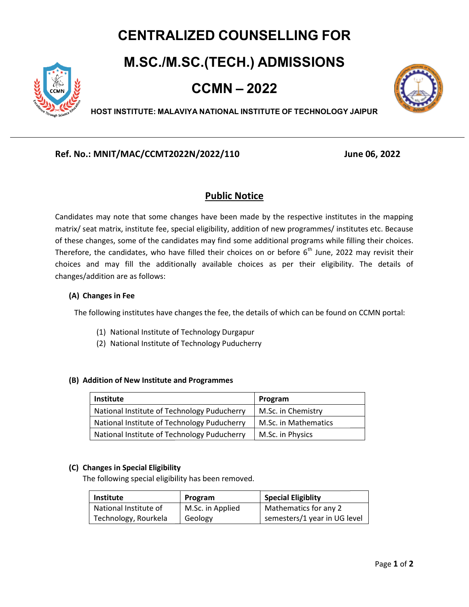# CENTRALIZED COUNSELLING FOR

## M.SC./M.SC.(TECH.) ADMISSIONS



CCMN – 2022



HOST INSTITUTE: MALAVIYA NATIONAL INSTITUTE OF TECHNOLOGY JAIPUR

## Ref. No.: MNIT/MAC/CCMT2022N/2022/110 MNIT/MAC/CCMT2022N/2022/110 June 06, 2022

## Public Notice

Candidates may note that some changes have been made by the respective institutes in the mapping matrix/ seat matrix, institute fee, special eligibility, addition of new programmes/ institutes etc. Because Candidates may note that some changes have been made by the respective institutes in the mapping<br>matrix/ seat matrix, institute fee, special eligibility, addition of new programmes/ institutes etc. Because<br>of these changes Therefore, the candidates, who have filled their choices on or before  $6<sup>th</sup>$  June, 2022 may revisit their choices and may fill the additionally available choices as per their eligibility. The details of changes/addition are as follows: itional programs while filling their choor before 6<sup>th</sup> June, 2022 may revisit<br>as per their eligibility. The detainned is per their eligibility. The detainned is of which can be found on CCMN port<br>is of which can be found

### (A) Changes in Fee

The following institutes have changes the fee, the details of which can be found on CCMN portal:

- (1) National Institute of Technology Durgapur
- (2) National Institute of Technology Puducherry

| (B) Addition of New Institute and Programmes |                      |  |
|----------------------------------------------|----------------------|--|
| <b>Institute</b>                             | Program              |  |
| National Institute of Technology Puducherry  | M.Sc. in Chemistry   |  |
| National Institute of Technology Puducherry  | M.Sc. in Mathematics |  |
| National Institute of Technology Puducherry  | M.Sc. in Physics     |  |

### (C) Changes in Special Eligibility

The following special eligibility has been removed. been removed.

| <b>Institute</b>      | Program          | <b>Special Eligiblity</b>    |
|-----------------------|------------------|------------------------------|
| National Institute of | M.Sc. in Applied | Mathematics for any 2        |
| Technology, Rourkela  | Geology          | semesters/1 year in UG level |